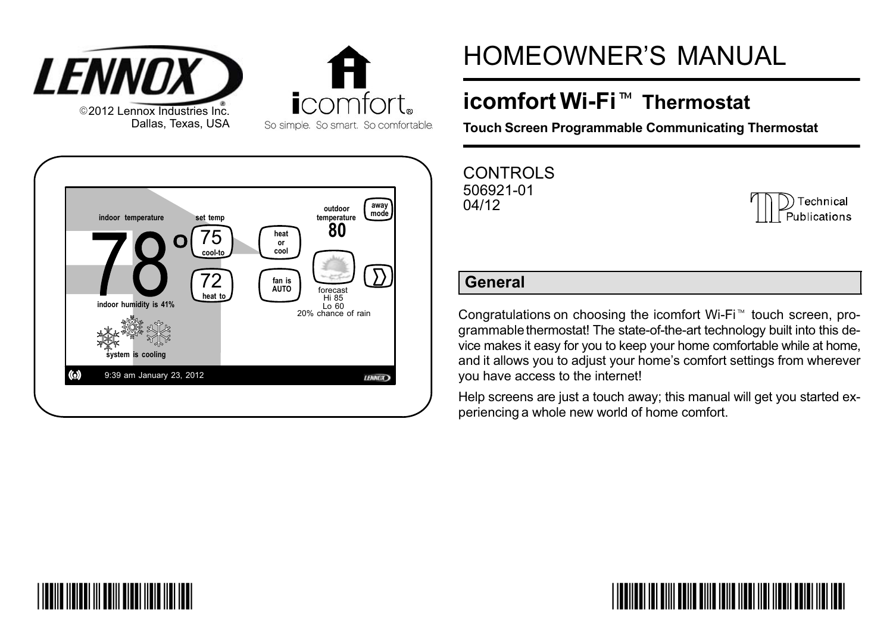



## HOMEOWNER'S MANUAL

# icomfort Wi−Fi- Thermostat

Touch Screen Programmable Communicating Thermostat

CONTROLS 506921−01 04/12

| <b>The Technical</b><br>Publications |
|--------------------------------------|
|--------------------------------------|

#### General

Congratulations on choosing the icomfort Wi−Fi touch screen, programmable thermostat! The state-of-the-art technology built into this device makes it easy for you to keep your home comfortable while at home, and it allows you to adjust your home's comfort settings from wherever you have access to the internet!

Help screens are just a touch away; this manual will get you started experiencing a whole new world of home comfort.



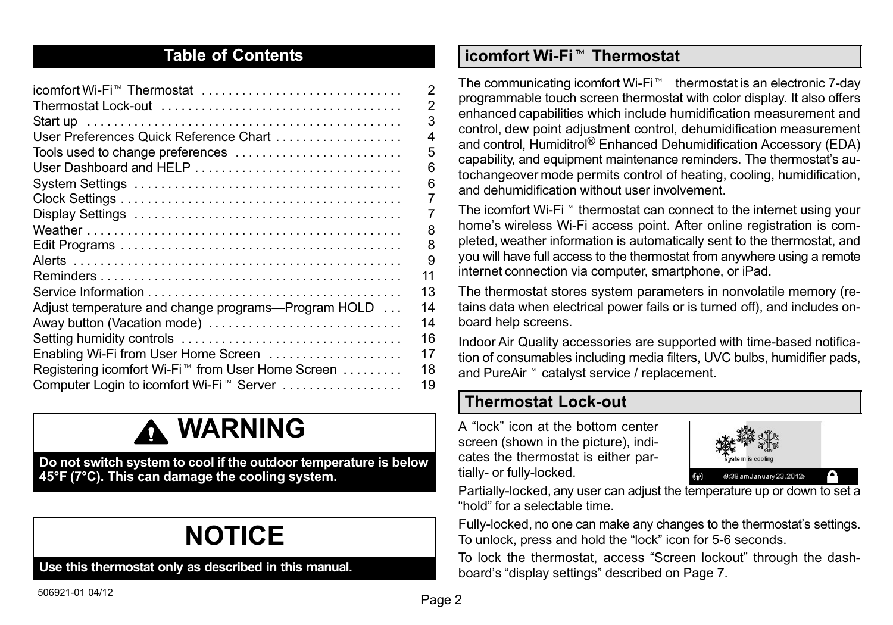#### Table of Contents

| icomfort Wi-Fi <sup>™</sup> Thermostat                        | 2  |
|---------------------------------------------------------------|----|
|                                                               | 2  |
|                                                               | 3  |
| User Preferences Quick Reference Chart                        | 4  |
| Tools used to change preferences                              | 5  |
| User Dashboard and HELP                                       | 6  |
|                                                               | 6  |
|                                                               | 7  |
|                                                               | 7  |
|                                                               | 8  |
|                                                               | 8  |
|                                                               | 9  |
|                                                               | 11 |
|                                                               | 13 |
| Adjust temperature and change programs-Program HOLD           | 14 |
| Away button (Vacation mode)                                   | 14 |
|                                                               | 16 |
| Enabling Wi-Fi from User Home Screen                          | 17 |
| Registering icomfort Wi-Fi <sup>™</sup> from User Home Screen | 18 |
| Computer Login to icomfort Wi-Fi <sup>™</sup> Server          | 19 |
|                                                               |    |

### **A WARNING**

Do not switch system to cool if the outdoor temperature is below 45°F (7°C). This can damage the cooling system.

## NOTICE

Use this thermostat only as described in this manual.

## icomfort Wi−Fi- Thermostat

The communicating icomfort Wi-Fi<sup>™</sup> thermostat is an electronic 7-day programmable touch screen thermostat with color display. It also offers enhanced capabilities which include humidification measurement and control, dew point adjustment control, dehumidification measurement and control, Humiditrol® Enhanced Dehumidification Accessory (EDA) capability, and equipment maintenance reminders. The thermostat's autochangeover mode permits control of heating, cooling, humidification, and dehumidification without user involvement.

The icomfort Wi−Fi thermostat can connect to the internet using your home's wireless Wi−Fi access point. After online registration is completed, weather information is automatically sent to the thermostat, and you will have full access to the thermostat from anywhere using a remote internet connection via computer, smartphone, or iPad.

The thermostat stores system parameters in nonvolatile memory (retains data when electrical power fails or is turned off), and includes onboard help screens.

Indoor Air Quality accessories are supported with time-based notification of consumables including media filters, UVC bulbs, humidifier pads, and PureAir<sup>™</sup> catalyst service / replacement.

#### Thermostat Lock−out

A "lock" icon at the bottom center screen (shown in the picture), indicates the thermostat is either partially− or fully−locked.



Partially−locked, any user can adjust the temperature up or down to set a hold" for a selectable time.

Fully−locked, no one can make any changes to the thermostat's settings. To unlock, press and hold the "lock" icon for 5-6 seconds.

To lock the thermostat, access "Screen lockout" through the dash-board's "display settings" described on [Page 7](#page-6-0).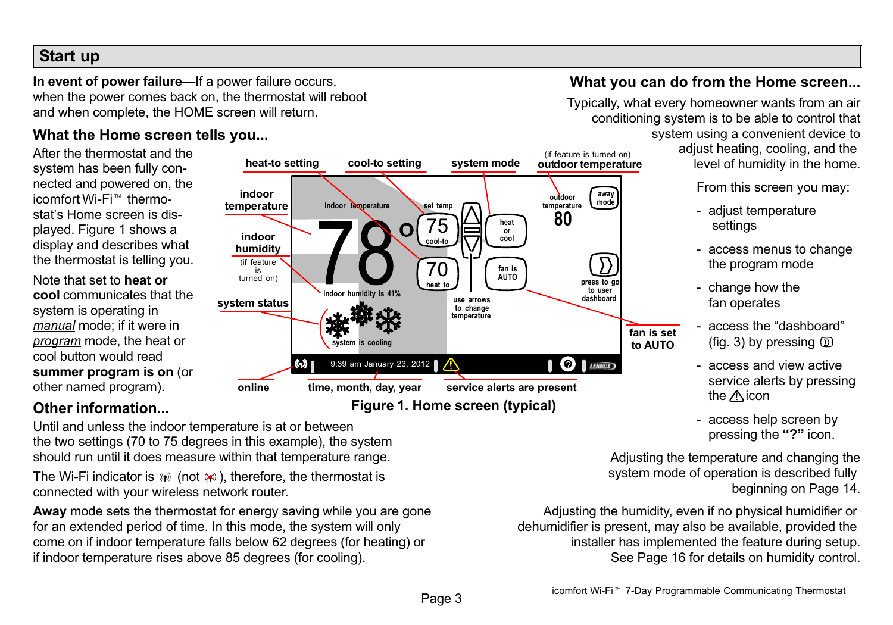#### <span id="page-2-0"></span>Start up

In event of power failure-If a power failure occurs, when the power comes back on, the thermostat will reboot and when complete, the HOME screen will return.

#### What the Home screen tells you...

After the thermostat and the system has been fully connected and powered on, the icomfort Wi-Fi<sup>™</sup> thermostat's Home screen is displayed. Figure 1 shows a display and describes what the thermostat is telling you.

Note that set to heat or cool communicates that the system is operating in manual mode; if it were in program mode, the heat or cool button would read summer program is on (or other named program).

#### (if feature is turned on) heat-to setting cool-to setting system mode outdoor temperature indoor away<br>mode outdoor daway<br>temperature **temperature** indoor temperature set temp 80 75 heat Ω or indoor cool cool−to humidity (if feature 70 fan is turned on) AUTO <sub>I</sub> press to go heat to to user<br>dashboard  $\overline{\phantom{0}}$ indoor humidity is 41% system status use arrows to change temperature system is cooling  $\mathbf{0}$   $\mathbf{0}$ (o) 1 9:39 am January 23, 2012 | / online time, month, day, year service alerts are present Figure 1. Home screen (typical)

#### Other information...

Until and unless the indoor temperature is at or between the two settings (70 to 75 degrees in this example), the system should run until it does measure within that temperature range.

The Wi-Fi indicator is (\*) (not (\*)), therefore, the thermostat is connected with your wireless network router.

Away mode sets the thermostat for energy saving while you are gone for an extended period of time. In this mode, the system will only come on if indoor temperature falls below 62 degrees (for heating) or if indoor temperature rises above 85 degrees (for cooling).

#### What you can do from the Home screen...

Typically, what every homeowner wants from an air conditioning system is to be able to control that system using a convenient device to

 adjust heating, cooling, and the level of humidity in the home.

From this screen you may:

- − adjust temperature settings
- − access menus to change the program mode
- − change how the fan operates
- access the "dashboard" (fig. [3\)](#page-5-0) by pressing  $(D)$
- − access and view active service alerts by pressing the  $\wedge$ icon
- − access help screen by pressing the "?" icon.

Adjusting the temperature and changing the system mode of operation is described fully beginning on [Page 14](#page-13-0).

Adjusting the humidity, even if no physical humidifier or dehumidifier is present, may also be available, provided the installer has implemented the feature during setup. See [Page 16](#page-15-0) for details on humidity control.

fan is set to AUTO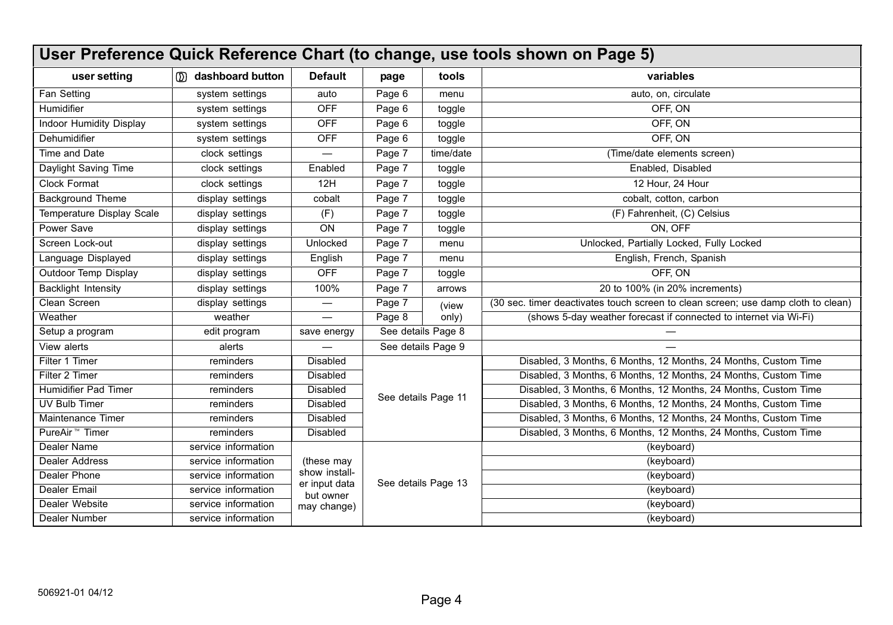<span id="page-3-0"></span>

| User Preference Quick Reference Chart (to change, use tools shown on Page 5) |                      |                             |                    |                                                  |                                                                                   |
|------------------------------------------------------------------------------|----------------------|-----------------------------|--------------------|--------------------------------------------------|-----------------------------------------------------------------------------------|
| user setting                                                                 | ()) dashboard button | <b>Default</b>              | page               | tools                                            | variables                                                                         |
| Fan Setting                                                                  | system settings      | auto                        | Page 6             | menu                                             | auto, on, circulate                                                               |
| Humidifier                                                                   | system settings      | OFF                         | Page 6             | toggle                                           | OFF, ON                                                                           |
| Indoor Humidity Display                                                      | system settings      | OFF                         | Page 6             | toggle                                           | OFF. ON                                                                           |
| Dehumidifier                                                                 | system settings      | OFF                         | Page 6             | toggle                                           | OFF, ON                                                                           |
| Time and Date                                                                | clock settings       |                             | Page 7             | time/date                                        | (Time/date elements screen)                                                       |
| Daylight Saving Time                                                         | clock settings       | Enabled                     | Page 7             | toggle                                           | Enabled. Disabled                                                                 |
| Clock Format                                                                 | clock settings       | 12H                         | Page 7             | toggle                                           | 12 Hour, 24 Hour                                                                  |
| <b>Background Theme</b>                                                      | display settings     | cobalt                      | Page 7             | toggle                                           | cobalt, cotton, carbon                                                            |
| Temperature Display Scale                                                    | display settings     | (F)                         | Page 7             | toggle                                           | (F) Fahrenheit, (C) Celsius                                                       |
| Power Save                                                                   | display settings     | ON                          | Page 7             | toggle                                           | ON. OFF                                                                           |
| Screen Lock-out                                                              | display settings     | Unlocked                    | Page 7             | Unlocked, Partially Locked, Fully Locked<br>menu |                                                                                   |
| Language Displayed                                                           | display settings     | English                     | Page 7             | menu                                             | English, French, Spanish                                                          |
| Outdoor Temp Display                                                         | display settings     | <b>OFF</b>                  | Page 7             | toggle                                           | OFF. ON                                                                           |
| Backlight Intensity                                                          | display settings     | 100%                        | Page 7             | arrows                                           | 20 to 100% (in 20% increments)                                                    |
| Clean Screen                                                                 | display settings     | —                           | Page 7             | (view                                            | (30 sec. timer deactivates touch screen to clean screen; use damp cloth to clean) |
| Weather                                                                      | weather              | $\overline{\phantom{0}}$    | Page 8<br>only)    |                                                  | (shows 5-day weather forecast if connected to internet via Wi-Fi)                 |
| Setup a program                                                              | edit program         | save energy                 | See details Page 8 |                                                  |                                                                                   |
| View alerts                                                                  | alerts               |                             | See details Page 9 |                                                  |                                                                                   |
| Filter 1 Timer                                                               | reminders            | Disabled                    |                    |                                                  | Disabled, 3 Months, 6 Months, 12 Months, 24 Months, Custom Time                   |
| Filter 2 Timer                                                               | reminders            | Disabled                    |                    |                                                  | Disabled, 3 Months, 6 Months, 12 Months, 24 Months, Custom Time                   |
| Humidifier Pad Timer                                                         | reminders            | Disabled                    |                    | See details Page 11                              | Disabled, 3 Months, 6 Months, 12 Months, 24 Months, Custom Time                   |
| UV Bulb Timer                                                                | reminders            | <b>Disabled</b>             |                    |                                                  | Disabled, 3 Months, 6 Months, 12 Months, 24 Months, Custom Time                   |
| Maintenance Timer                                                            | reminders            | Disabled                    |                    |                                                  | Disabled, 3 Months, 6 Months, 12 Months, 24 Months, Custom Time                   |
| PureAir <sup>™</sup> Timer                                                   | reminders            | <b>Disabled</b>             |                    |                                                  | Disabled, 3 Months, 6 Months, 12 Months, 24 Months, Custom Time                   |
| Dealer Name                                                                  | service information  |                             |                    |                                                  | (keyboard)                                                                        |
| <b>Dealer Address</b>                                                        | service information  | (these may<br>show install- |                    |                                                  | (keyboard)                                                                        |
| Dealer Phone                                                                 | service information  | er input data               |                    | See details Page 13                              | (keyboard)                                                                        |
| Dealer Email                                                                 | service information  | but owner                   |                    |                                                  | (keyboard)                                                                        |
| Dealer Website                                                               | service information  | may change)                 |                    |                                                  | (keyboard)                                                                        |
| Dealer Number                                                                | service information  |                             |                    |                                                  | (keyboard)                                                                        |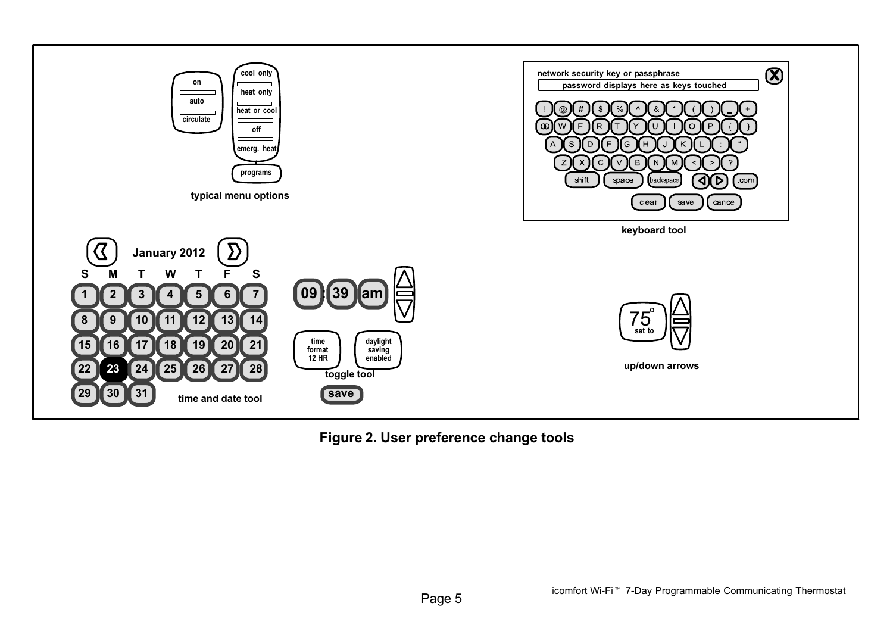<span id="page-4-0"></span>

Figure 2. User preference change tools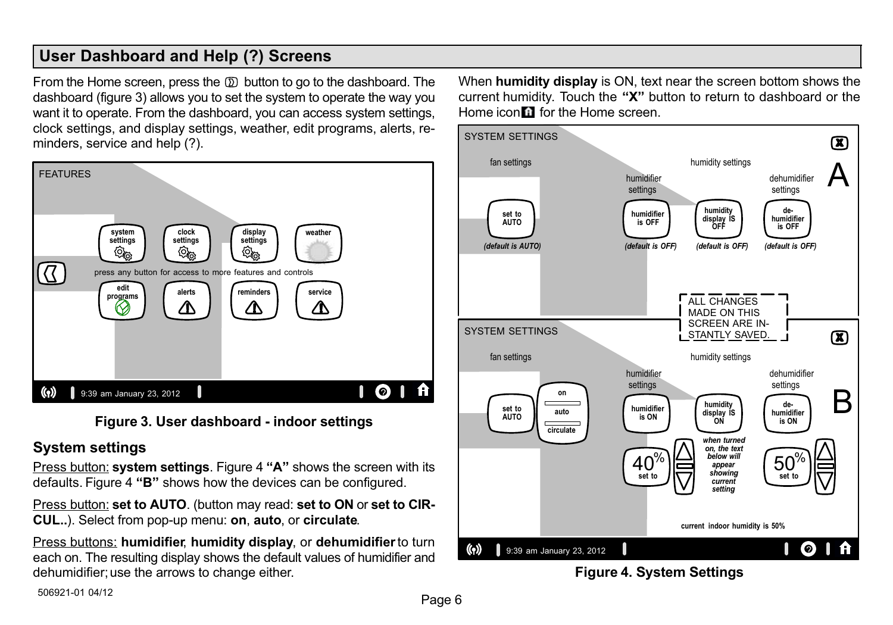#### <span id="page-5-0"></span>User Dashboard and Help (?) Screens

From the Home screen, press the  $D$  button to go to the dashboard. The dashboard (figure 3) allows you to set the system to operate the way you want it to operate. From the dashboard, you can access system settings, clock settings, and display settings, weather, edit programs, alerts, reminders, service and help (?).



#### Figure 3. User dashboard − indoor settings

#### System settings

<u>Press button:</u> s**ystem settings**. Figure 4 **"A"** shows the screen with its defaults. Figure 4 "B" shows how the devices can be configured.

Press button: set to AUTO. (button may read: set to ON or set to CIR-CUL..). Select from pop−up menu: on, auto, or circulate.

Press buttons: humidifier, humidity display, or dehumidifier to turn each on. The resulting display shows the default values of humidifier and dehumidifier; use the arrows to change either.

When humidity display is ON, text near the screen bottom shows the current humidity. Touch the "X" button to return to dashboard or the Home icon **for** for the Home screen.



Figure 4. System Settings

506921−01 04/12 Page 6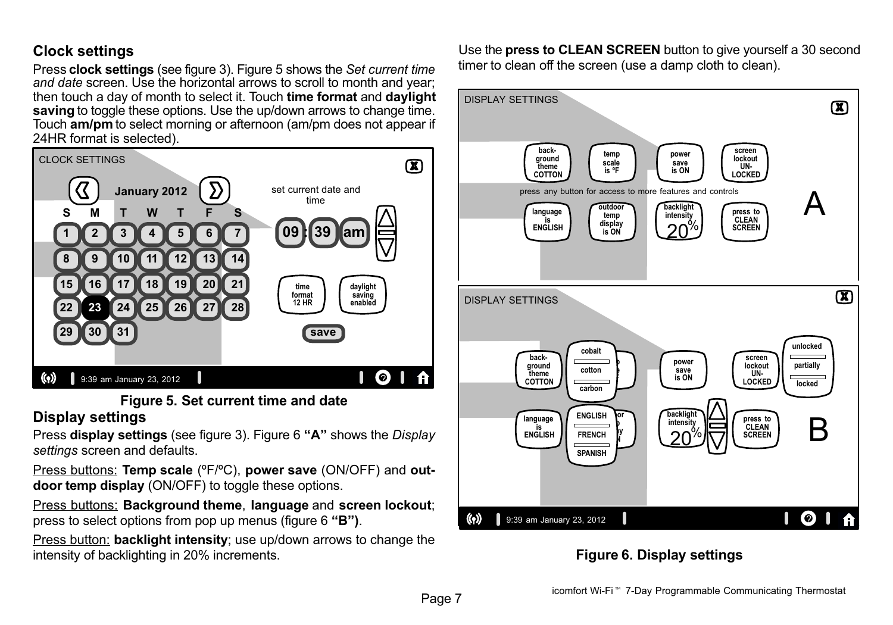#### <span id="page-6-0"></span>Clock settings

Press clock settings (see figure [3\)](#page-5-0). Figure 5 shows the Set current time and date screen. Use the horizontal arrows to scroll to month and year: then touch a day of month to select it. Touch time format and daylight saving to toggle these options. Use the up/down arrows to change time. Touch am/pm to select morning or afternoon (am/pm does not appear if 24HR format is selected).



#### Figure 5. Set current time and date Display settings

Press **display settings** (see figure [3](#page-5-0)). Figure 6 **"A"** shows the *Display* settings screen and defaults.

Press buttons: Temp scale (°F/°C), power save (ON/OFF) and outdoor temp display (ON/OFF) to toggle these options.

Press buttons: Background theme, language and screen lockout; press to select options from pop up menus (figure 6 "B").

Press button: **backlight intensity**: use up/down arrows to change the intensity of backlighting in 20% increments.

Use the press to CLEAN SCREEN button to give yourself a 30 second timer to clean off the screen (use a damp cloth to clean).



#### Figure 6. Display settings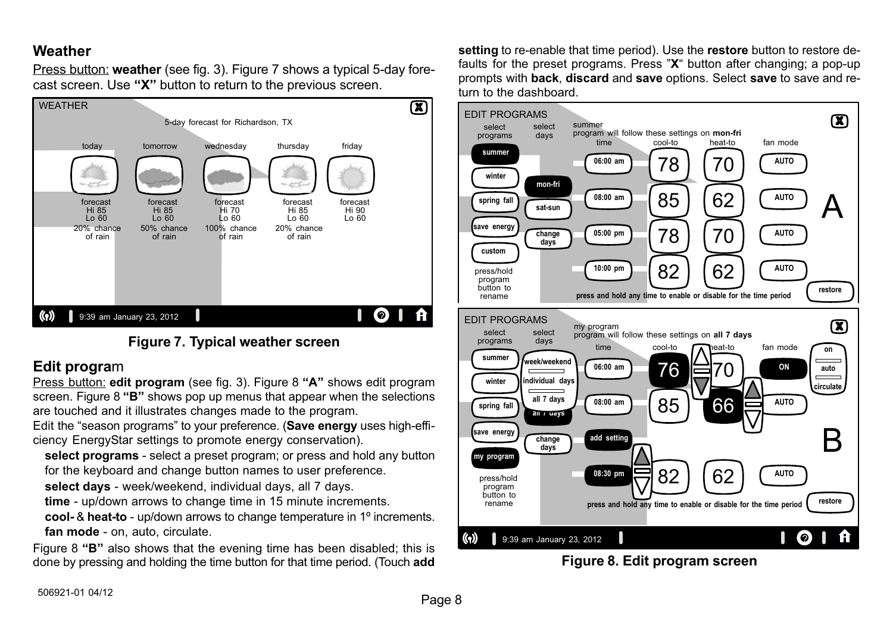#### <span id="page-7-0"></span>**Weather**

Press button: weather (see fig. [3](#page-5-0)). Figure 7 shows a typical 5-day forecast screen. Use "X" button to return to the previous screen.



#### Figure 7. Typical weather screen

#### Edit program

Press button: edit program (see fig. [3\)](#page-5-0). Figure 8 "A" shows edit program screen. Figure 8 "B" shows pop up menus that appear when the selections are touched and it illustrates changes made to the program.

Edit the "season programs" to your preference. (Save energy uses high-efficiency EnergyStar settings to promote energy conservation).

select programs - select a preset program; or press and hold any button for the keyboard and change button names to user preference.

select days - week/weekend, individual days, all 7 days.

time − up/down arrows to change time in 15 minute increments.

cool− & heat−to − up/down arrows to change temperature in 1º increments. fan mode − on, auto, circulate.

Figure 8 "B" also shows that the evening time has been disabled; this is done by pressing and holding the time button for that time period. (Touch add setting to re-enable that time period). Use the restore button to restore defaults for the preset programs. Press "X" button after changing: a pop-up prompts with back, discard and save options. Select save to save and return to the dashboard.



Figure 8. Edit program screen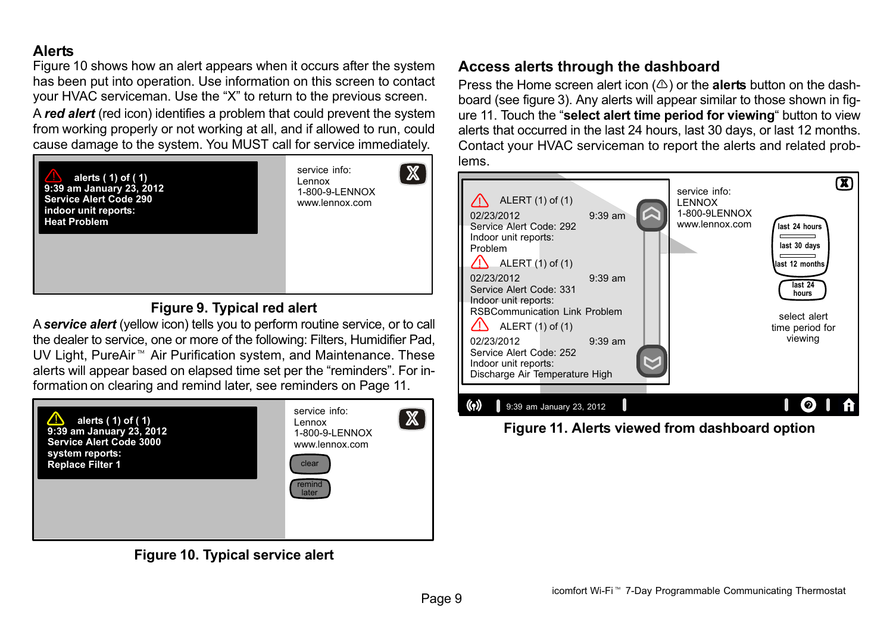#### <span id="page-8-0"></span>Alerts

Figure 10 shows how an alert appears when it occurs after the system has been put into operation. Use information on this screen to contact your HVAC serviceman. Use the "X" to return to the previous screen.

A red alert (red icon) identifies a problem that could prevent the system from working properly or not working at all, and if allowed to run, could cause damage to the system. You MUST call for service immediately.



#### Figure 9. Typical red alert

A service alert (yellow icon) tells you to perform routine service, or to call the dealer to service, one or more of the following: Filters, Humidifier Pad, UV Light, PureAir<sup>™</sup> Air Purification system, and Maintenance. These alerts will appear based on elapsed time set per the "reminders". For information on clearing and remind later, see reminders on [Page 11.](#page-10-0)



Figure 10. Typical service alert

#### Access alerts through the dashboard

Press the Home screen alert icon  $(\triangle)$  or the alerts button on the dashboard (see figure [3\)](#page-5-0). Any alerts will appear similar to those shown in figure 11. Touch the "select alert time period for viewing" button to view alerts that occurred in the last 24 hours, last 30 days, or last 12 months. Contact your HVAC serviceman to report the alerts and related problems.



Figure 11. Alerts viewed from dashboard option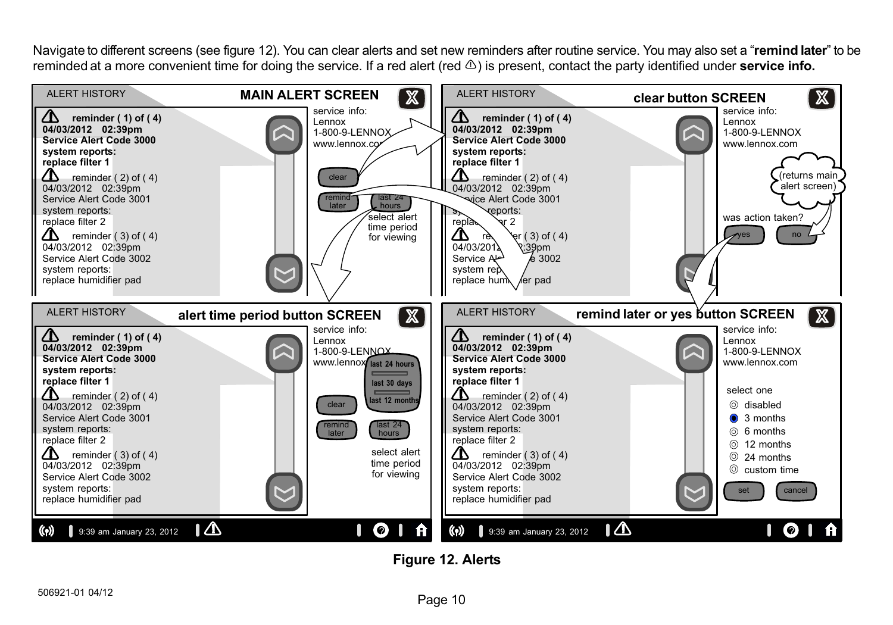Navigate to different screens (see figure 12). You can clear alerts and set new reminders after routine service. You may also set a "remind later" to be reminded at a more convenient time for doing the service. If a red alert (red  $\triangle$ ) is present, contact the party identified under service info.



Figure 12. Alerts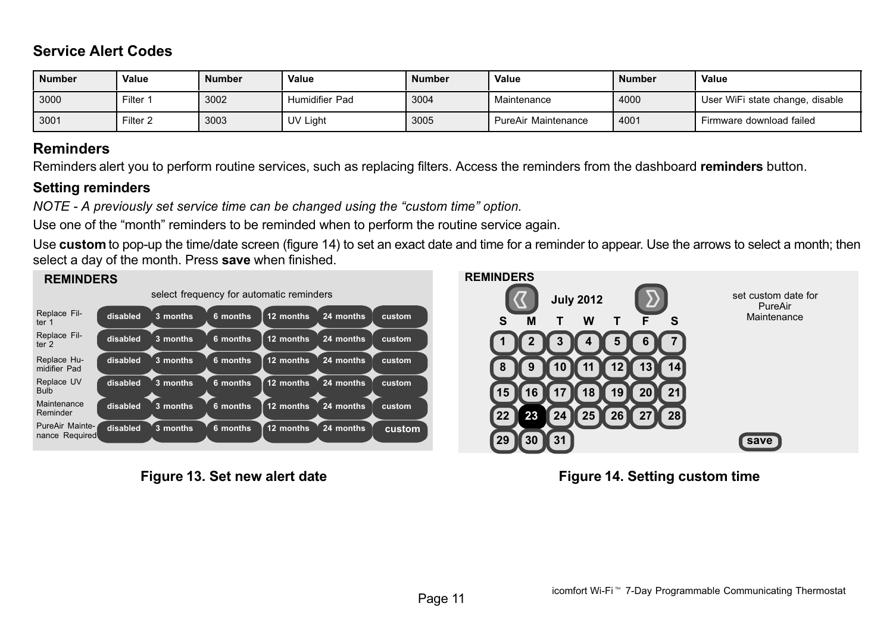#### <span id="page-10-0"></span>Service Alert Codes

| <b>Number</b> | Value       | <b>Number</b> | Value          | <b>Number</b> | Value               | <b>Number</b> | Value                           |
|---------------|-------------|---------------|----------------|---------------|---------------------|---------------|---------------------------------|
| 3000          | $F$ ilter 1 | 3002          | Humidifier Pad | 3004          | Maintenance         | 4000          | User WiFi state change, disable |
| 3001          | Filter $2$  | 3003          | UV Light       | 3005          | PureAir Maintenance | 4001          | Firmware download failed        |

#### Reminders

Reminders alert you to perform routine services, such as replacing filters. Access the reminders from the dashboard reminders button.

#### Setting reminders

NOTE - A previously set service time can be changed using the "custom time" option.

Use one of the "month" reminders to be reminded when to perform the routine service again.

Use custom to pop-up the time/date screen (figure 14) to set an exact date and time for a reminder to appear. Use the arrows to select a month; then select a day of the month. Press save when finished.



Figure 13. Set new alert date



Figure 14. Setting custom time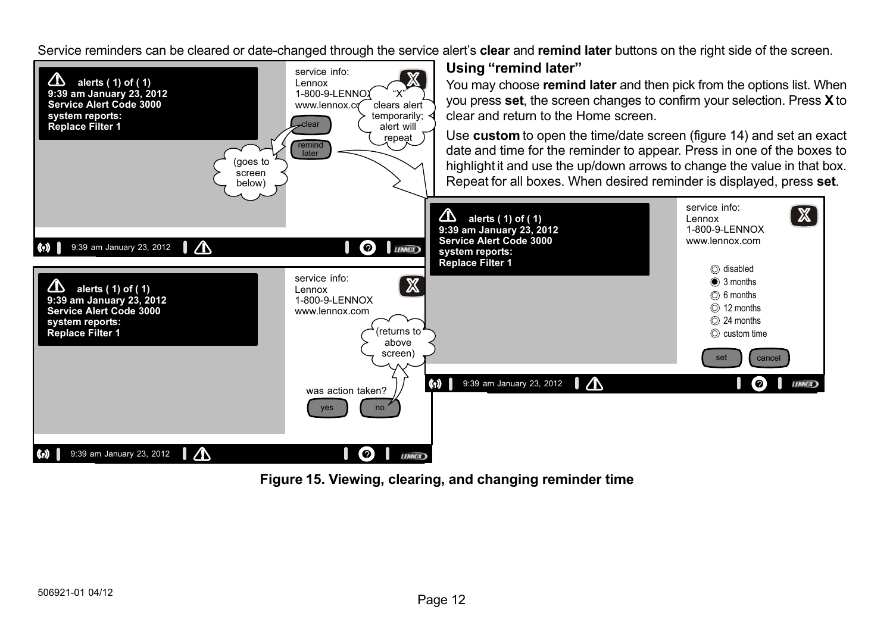Service reminders can be cleared or date-changed through the service alert's **clear** and remind later buttons on the right side of the screen.



Figure 15. Viewing, clearing, and changing reminder time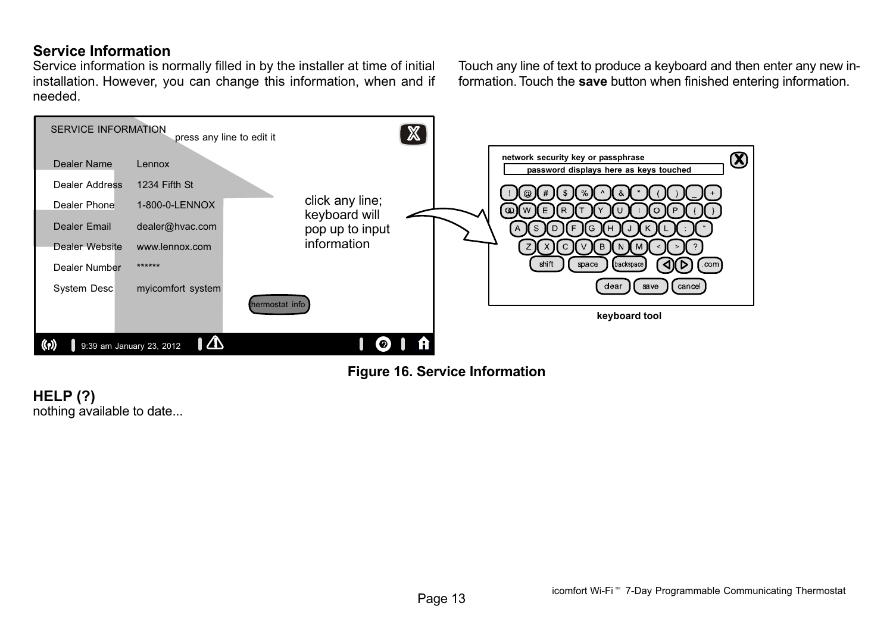#### <span id="page-12-0"></span>Service Information

Service information is normally filled in by the installer at time of initial installation. However, you can change this information, when and if needed.

Touch any line of text to produce a keyboard and then enter any new information. Touch the save button when finished entering information.



Figure 16. Service Information

HELP (?) nothing available to date...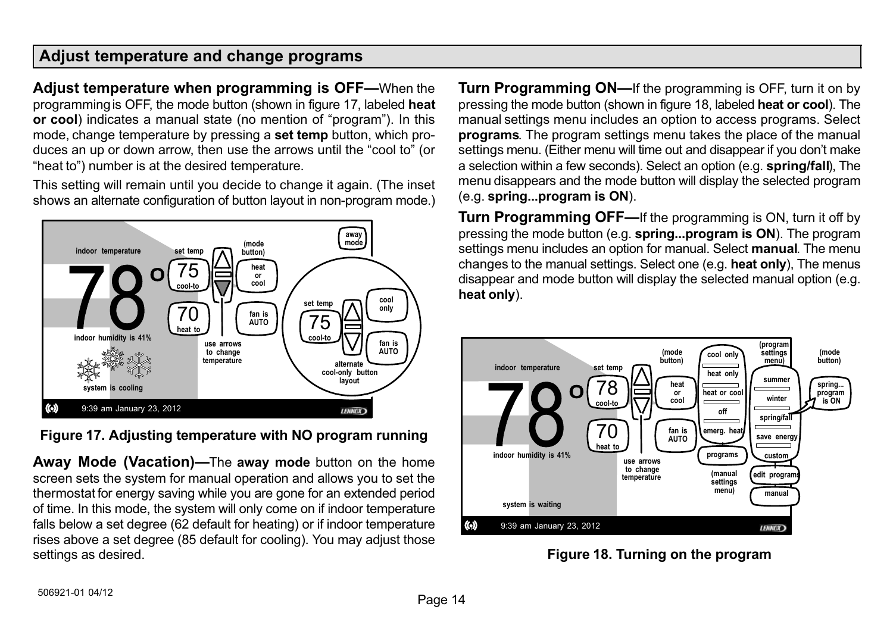#### <span id="page-13-0"></span>Adjust temperature and change programs

Adjust temperature when programming is OFF-When the programming is OFF, the mode button (shown in figure 17, labeled heat or cool) indicates a manual state (no mention of "program"). In this mode, change temperature by pressing a set temp button, which produces an up or down arrow, then use the arrows until the "cool to" (or heat to") number is at the desired temperature.

This setting will remain until you decide to change it again. (The inset shows an alternate configuration of button layout in non−program mode.)



Figure 17. Adjusting temperature with NO program running

Away Mode (Vacation)—The away mode button on the home screen sets the system for manual operation and allows you to set the thermostat for energy saving while you are gone for an extended period of time. In this mode, the system will only come on if indoor temperature falls below a set degree (62 default for heating) or if indoor temperature rises above a set degree (85 default for cooling). You may adjust those settings as desired.

Turn Programming ON—If the programming is OFF, turn it on by pressing the mode button (shown in figure 18, labeled heat or cool). The manual settings menu includes an option to access programs. Select programs. The program settings menu takes the place of the manual settings menu. (Either menu will time out and disappear if you don't make a selection within a few seconds). Select an option (e.g. spring/fall), The menu disappears and the mode button will display the selected program (e.g. spring...program is ON).

Turn Programming OFF—If the programming is ON, turn it off by pressing the mode button (e.g. spring...program is ON). The program settings menu includes an option for manual. Select **manual**. The menu changes to the manual settings. Select one (e.g. heat only), The menus disappear and mode button will display the selected manual option (e.g. heat only).



Figure 18. Turning on the program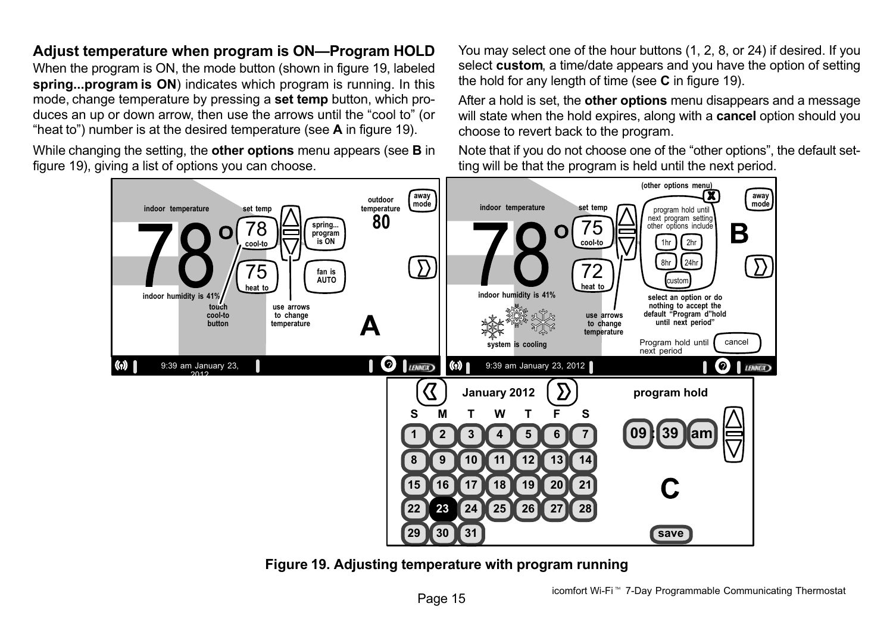## 8hr 1 24hr



will state when the hold expires, along with a **cancel** option should you choose to revert back to the program.

Note that if you do not choose one of the "other options", the default setting will be that the program is held until the next period.



Adjust temperature when program is ON-Program HOLD When the program is ON, the mode button (shown in figure 19, labeled spring...program is ON) indicates which program is running. In this mode, change temperature by pressing a set temp button, which produces an up or down arrow, then use the arrows until the "cool to" (or "heat to") number is at the desired temperature (see A in figure 19). While changing the setting, the other options menu appears (see B in

figure 19), giving a list of options you can choose.

Figure 19. Adjusting temperature with program running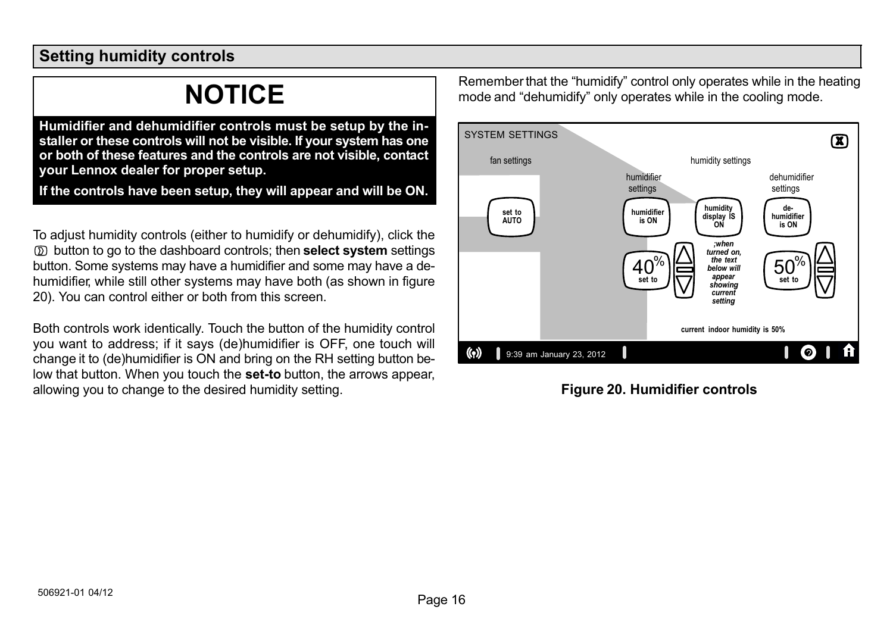#### <span id="page-15-0"></span>Setting humidity controls

### NOTICE

Humidifier and dehumidifier controls must be setup by the installer or these controls will not be visible. If your system has one or both of these features and the controls are not visible, contact your Lennox dealer for proper setup.

If the controls have been setup, they will appear and will be ON.

To adjust humidity controls (either to humidify or dehumidify), click the  $\circled{D}$  button to go to the dashboard controls; then **select system** settings button. Some systems may have a humidifier and some may have a dehumidifier, while still other systems may have both (as shown in figure 20). You can control either or both from this screen.

Both controls work identically. Touch the button of the humidity control you want to address; if it says (de)humidifier is OFF, one touch will change it to (de)humidifier is ON and bring on the RH setting button below that button. When you touch the set−to button, the arrows appear, allowing you to change to the desired humidity setting.

Remember that the "humidify" control only operates while in the heating mode and "dehumidify" only operates while in the cooling mode.



Figure 20. Humidifier controls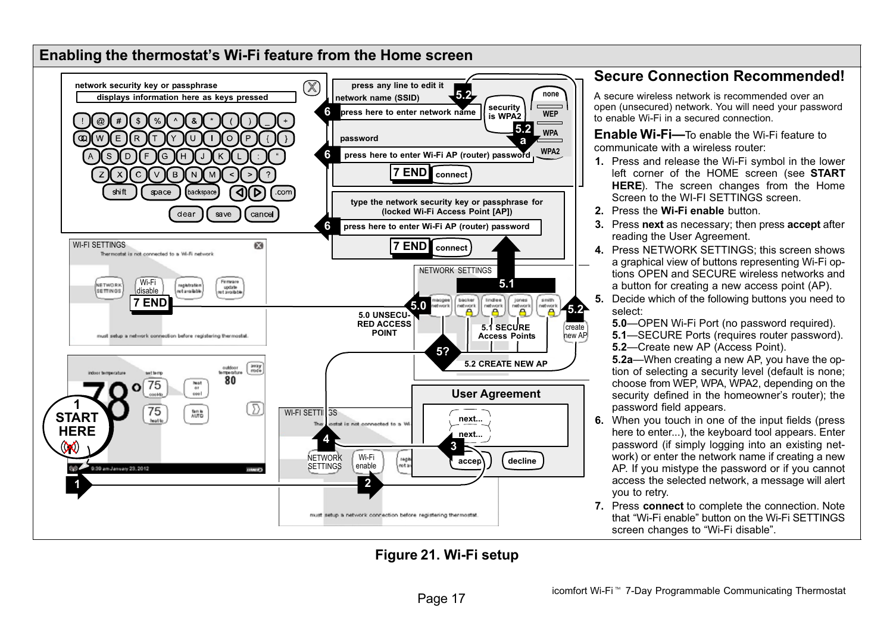<span id="page-16-0"></span>

#### Figure 21. Wi−Fi setup

#### Secure Connection Recommended!

A secure wireless network is recommended over an open (unsecured) network. You will need your password to enable Wi−Fi in a secured connection.

Enable Wi-Fi—To enable the Wi-Fi feature to communicate with a wireless router:

- 1. Press and release the Wi−Fi symbol in the lower left corner of the HOME screen (see START HERE). The screen changes from the Home Screen to the WI−FI SETTINGS screen.
- 2. Press the Wi-Fi enable button.
- 3. Press next as necessary; then press accept after reading the User Agreement.
- 4. Press NETWORK SETTINGS; this screen shows a graphical view of buttons representing Wi−Fi options OPEN and SECURE wireless networks and a button for creating a new access point (AP).
- 5. Decide which of the following buttons you need to select:

5.0-OPEN Wi-Fi Port (no password required).

5.1-SECURE Ports (requires router password). 5.2-Create new AP (Access Point).

5.2a—When creating a new AP, you have the option of selecting a security level (default is none; choose from WEP, WPA, WPA2, depending on the security defined in the homeowner's router); the password field appears.

- 6. When you touch in one of the input fields (press here to enter...), the keyboard tool appears. Enter password (if simply logging into an existing network) or enter the network name if creating a new AP. If you mistype the password or if you cannot access the selected network, a message will alert you to retry.
- 7. Press connect to complete the connection. Note that Wi−Fi enable" button on the Wi−Fi SETTINGS screen changes to "Wi-Fi disable".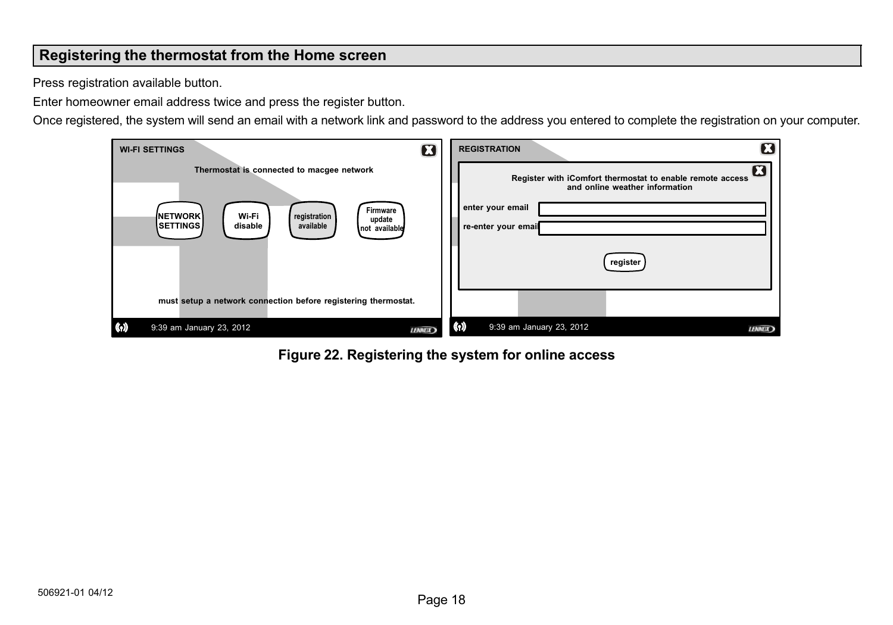#### <span id="page-17-0"></span>Registering the thermostat from the Home screen

Press registration available button.

Enter homeowner email address twice and press the register button.

Once registered, the system will send an email with a network link and password to the address you entered to complete the registration on your computer.

| <b>WI-FI SETTINGS</b>                                                                                                         | П             | <b>REGISTRATION</b>                                                                         |               |
|-------------------------------------------------------------------------------------------------------------------------------|---------------|---------------------------------------------------------------------------------------------|---------------|
| Thermostat is connected to macgee network                                                                                     |               | Register with iComfort thermostat to enable remote access<br>and online weather information | Н             |
| Firmware<br>Wi-Fi<br><b>INETWORK</b><br>registration<br>update<br><b>ISETTINGS</b> I<br>available<br>disable<br>not available |               | enter your email<br>re-enter your email                                                     |               |
|                                                                                                                               |               | register                                                                                    |               |
| must setup a network connection before registering thermostat.                                                                |               |                                                                                             |               |
| $(\cdot)$<br>9:39 am January 23, 2012                                                                                         | <b>LENNEX</b> | $(\cdot)$<br>9:39 am January 23, 2012                                                       | <b>LENNEX</b> |

Figure 22. Registering the system for online access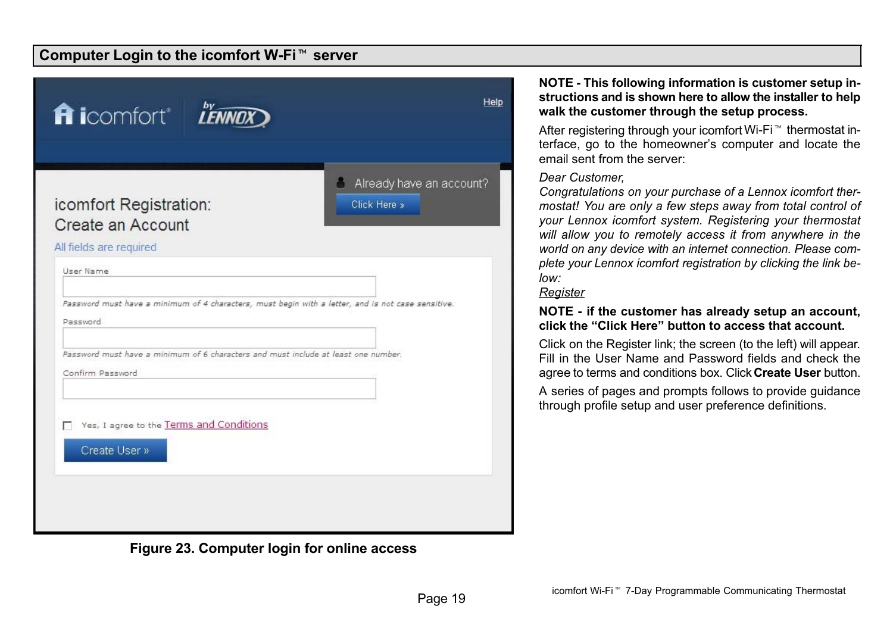## <span id="page-18-0"></span>.<br>Computer Login to the icomfort W-Fi™ server

| <b>fi</b> icomfort <sup>®</sup> <b>L'ENNOX</b>                                                                              | Help                                     |
|-----------------------------------------------------------------------------------------------------------------------------|------------------------------------------|
| icomfort Registration:<br>Create an Account<br>All fields are required                                                      | Already have an account?<br>Click Here » |
| User Name<br>Password must have a minimum of 4 characters, must begin with a letter, and is not case sensitive.<br>Password |                                          |
| Password must have a minimum of 6 characters and must include at least one number.<br>Confirm Password                      |                                          |
| Yes, I agree to the Terms and Conditions<br>Create User »                                                                   |                                          |

#### Figure 23. Computer login for online access

#### NOTE − This following information is customer setup instructions and is shown here to allow the installer to help walk the customer through the setup process.

After registering through your icomfort Wi-Fi<sup>™</sup> thermostat interface, go to the homeowner's computer and locate the email sent from the server:

#### Dear Customer,

Congratulations on your purchase of a Lennox icomfort thermostat! You are only a few steps away from total control of your Lennox icomfort system. Registering your thermostat will allow you to remotely access it from anywhere in the world on any device with an internet connection. Please complete your Lennox icomfort registration by clicking the link below:

#### **Register**

#### NOTE − if the customer has already setup an account, click the -Click Here" button to access that account.

Click on the Register link; the screen (to the left) will appear. Fill in the User Name and Password fields and check the agree to terms and conditions box. Click Create User button.

A series of pages and prompts follows to provide guidance through profile setup and user preference definitions.